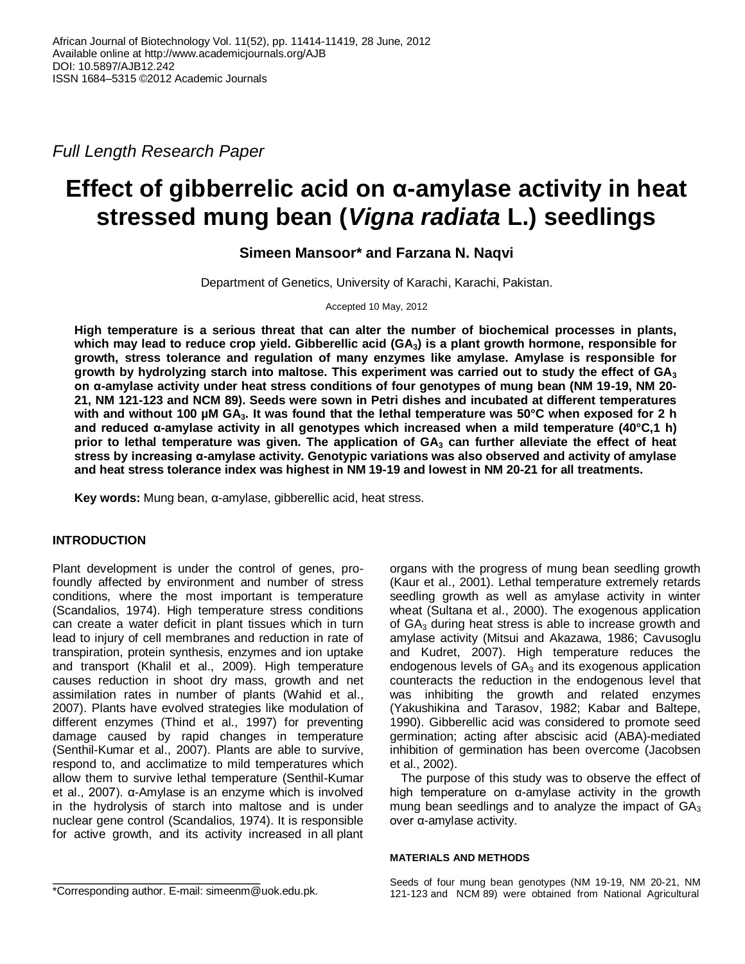*Full Length Research Paper*

# **Effect of gibberrelic acid on α-amylase activity in heat stressed mung bean (***Vigna radiata* **L.) seedlings**

**Simeen Mansoor\* and Farzana N. Naqvi**

Department of Genetics, University of Karachi, Karachi, Pakistan.

Accepted 10 May, 2012

**High temperature is a serious threat that can alter the number of biochemical processes in plants, which may lead to reduce crop yield. Gibberellic acid (GA3) is a plant growth hormone, responsible for growth, stress tolerance and regulation of many enzymes like amylase. Amylase is responsible for growth by hydrolyzing starch into maltose. This experiment was carried out to study the effect of GA<sup>3</sup> on α-amylase activity under heat stress conditions of four genotypes of mung bean (NM 19-19, NM 20- 21, NM 121-123 and NCM 89). Seeds were sown in Petri dishes and incubated at different temperatures with and without 100 µM GA3. It was found that the lethal temperature was 50°C when exposed for 2 h and reduced α-amylase activity in all genotypes which increased when a mild temperature (40°C,1 h) prior to lethal temperature was given. The application of GA<sup>3</sup> can further alleviate the effect of heat stress by increasing α-amylase activity. Genotypic variations was also observed and activity of amylase and heat stress tolerance index was highest in NM 19-19 and lowest in NM 20-21 for all treatments.**

**Key words:** Mung bean, α-amylase, gibberellic acid, heat stress.

## **INTRODUCTION**

Plant development is under the control of genes, profoundly affected by environment and number of stress conditions, where the most important is temperature (Scandalios, 1974). High temperature stress conditions can create a water deficit in plant tissues which in turn lead to injury of cell membranes and reduction in rate of transpiration, protein synthesis, enzymes and ion uptake and transport (Khalil et al., 2009). High temperature causes reduction in shoot dry mass, growth and net assimilation rates in number of plants (Wahid et al., 2007). Plants have evolved strategies like modulation of different enzymes (Thind et al., 1997) for preventing damage caused by rapid changes in temperature (Senthil-Kumar et al., 2007). Plants are able to survive, respond to, and acclimatize to mild temperatures which allow them to survive lethal temperature (Senthil-Kumar et al., 2007). α-Amylase is an enzyme which is involved in the hydrolysis of starch into maltose and is under nuclear gene control (Scandalios, 1974). It is responsible for active growth, and its activity increased in all plant

organs with the progress of mung bean seedling growth (Kaur et al., 2001). Lethal temperature extremely retards seedling growth as well as amylase activity in winter wheat (Sultana et al., 2000). The exogenous application of  $GA<sub>3</sub>$  during heat stress is able to increase growth and amylase activity (Mitsui and Akazawa, 1986; Cavusoglu and Kudret, 2007). High temperature reduces the endogenous levels of  $GA<sub>3</sub>$  and its exogenous application counteracts the reduction in the endogenous level that was inhibiting the growth and related enzymes (Yakushikina and Tarasov, 1982; Kabar and Baltepe, 1990). Gibberellic acid was considered to promote seed germination; acting after abscisic acid (ABA)-mediated inhibition of germination has been overcome (Jacobsen et al., 2002).

The purpose of this study was to observe the effect of high temperature on α-amylase activity in the growth mung bean seedlings and to analyze the impact of  $GA_3$ over α-amylase activity.

#### **MATERIALS AND METHODS**

\*Corresponding author. E-mail: simeenm@uok.edu.pk.

Seeds of four mung bean genotypes (NM 19-19, NM 20-21, NM 121-123 and NCM 89) were obtained from National Agricultural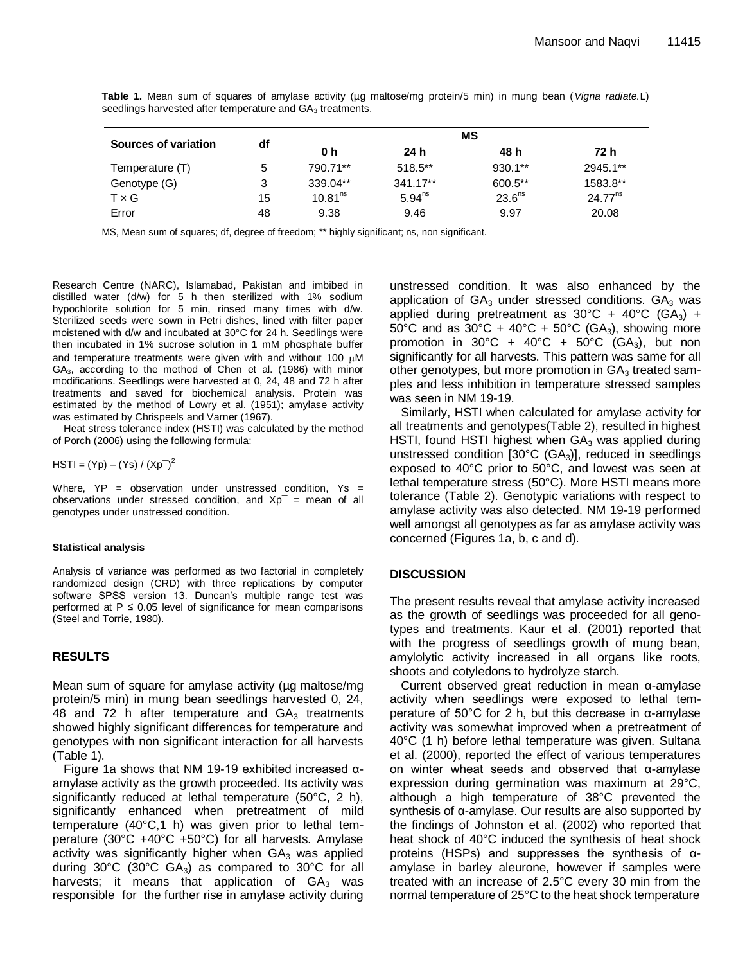|                      | df | ΜS                  |             |                    |              |  |
|----------------------|----|---------------------|-------------|--------------------|--------------|--|
| Sources of variation |    | 0 h                 | 24 h        | 48 h               | 72 h         |  |
| Temperature (T)      | 5  | 790.71**            | $518.5**$   | $930.1**$          | 2945.1**     |  |
| Genotype (G)         | 3  | $339.04**$          | $341.17**$  | $600.5**$          | 1583.8**     |  |
| $T \times G$         | 15 | 10.81 <sup>ns</sup> | $5.94^{ns}$ | 23.6 <sup>ns</sup> | $24.77^{ns}$ |  |
| Error                | 48 | 9.38                | 9.46        | 9.97               | 20.08        |  |

**Table 1.** Mean sum of squares of amylase activity (µg maltose/mg protein/5 min) in mung bean (*Vigna radiate.*L) seedlings harvested after temperature and GA<sub>3</sub> treatments.

MS, Mean sum of squares; df, degree of freedom; \*\* highly significant; ns, non significant.

Research Centre (NARC), Islamabad, Pakistan and imbibed in distilled water (d/w) for 5 h then sterilized with 1% sodium hypochlorite solution for 5 min, rinsed many times with d/w. Sterilized seeds were sown in Petri dishes, lined with filter paper moistened with d/w and incubated at 30°C for 24 h. Seedlings were then incubated in 1% sucrose solution in 1 mM phosphate buffer and temperature treatments were given with and without 100  $\mu$ M GA3, according to the method of Chen et al. (1986) with minor modifications. Seedlings were harvested at 0, 24, 48 and 72 h after treatments and saved for biochemical analysis. Protein was estimated by the method of Lowry et al. (1951); amylase activity was estimated by Chrispeels and Varner (1967).

Heat stress tolerance index (HSTI) was calculated by the method of Porch (2006) using the following formula:

 $HSTI = (Yp) - (Ys) / (Xp^{-})^{2}$ 

Where,  $YP =$  observation under unstressed condition,  $Ys =$ observations under stressed condition, and  $Xp^{-}$  = mean of all genotypes under unstressed condition.

#### **Statistical analysis**

Analysis of variance was performed as two factorial in completely randomized design (CRD) with three replications by computer software SPSS version 13. Duncan's multiple range test was performed at  $P \le 0.05$  level of significance for mean comparisons (Steel and Torrie, 1980).

## **RESULTS**

Mean sum of square for amylase activity (ug maltose/mg) protein/5 min) in mung bean seedlings harvested 0, 24, 48 and 72 h after temperature and  $GA<sub>3</sub>$  treatments showed highly significant differences for temperature and genotypes with non significant interaction for all harvests (Table 1).

Figure 1a shows that NM 19-19 exhibited increased αamylase activity as the growth proceeded. Its activity was significantly reduced at lethal temperature (50°C, 2 h), significantly enhanced when pretreatment of mild temperature (40°C,1 h) was given prior to lethal temperature (30°C +40°C +50°C) for all harvests. Amylase activity was significantly higher when  $GA_3$  was applied during 30°C (30°C GA<sub>3</sub>) as compared to 30°C for all harvests; it means that application of  $GA_3$  was responsible for the further rise in amylase activity during unstressed condition. It was also enhanced by the application of  $GA_3$  under stressed conditions.  $GA_3$  was applied during pretreatment as  $30^{\circ}$ C +  $40^{\circ}$ C (GA<sub>3</sub>) + 50°C and as 30°C + 40°C + 50°C (GA<sub>3</sub>), showing more promotion in 30°C + 40°C + 50°C (GA<sub>3</sub>), but non significantly for all harvests. This pattern was same for all other genotypes, but more promotion in  $GA<sub>3</sub>$  treated samples and less inhibition in temperature stressed samples was seen in NM 19-19.

Similarly, HSTI when calculated for amylase activity for all treatments and genotypes(Table 2), resulted in highest HSTI, found HSTI highest when  $GA<sub>3</sub>$  was applied during unstressed condition [30°C (GA<sub>3</sub>)], reduced in seedlings exposed to 40°C prior to 50°C, and lowest was seen at lethal temperature stress (50°C). More HSTI means more tolerance (Table 2). Genotypic variations with respect to amylase activity was also detected. NM 19-19 performed well amongst all genotypes as far as amylase activity was concerned (Figures 1a, b, c and d).

## **DISCUSSION**

The present results reveal that amylase activity increased as the growth of seedlings was proceeded for all genotypes and treatments. Kaur et al. (2001) reported that with the progress of seedlings growth of mung bean, amylolytic activity increased in all organs like roots, shoots and cotyledons to hydrolyze starch.

Current observed great reduction in mean α-amylase activity when seedlings were exposed to lethal temperature of 50°C for 2 h, but this decrease in α-amylase activity was somewhat improved when a pretreatment of 40°C (1 h) before lethal temperature was given. Sultana et al. (2000), reported the effect of various temperatures on winter wheat seeds and observed that α-amylase expression during germination was maximum at 29°C, although a high temperature of 38°C prevented the synthesis of α-amylase. Our results are also supported by the findings of Johnston et al. (2002) who reported that heat shock of 40°C induced the synthesis of heat shock proteins (HSPs) and suppresses the synthesis of αamylase in barley aleurone, however if samples were treated with an increase of 2.5°C every 30 min from the normal temperature of 25°C to the heat shock temperature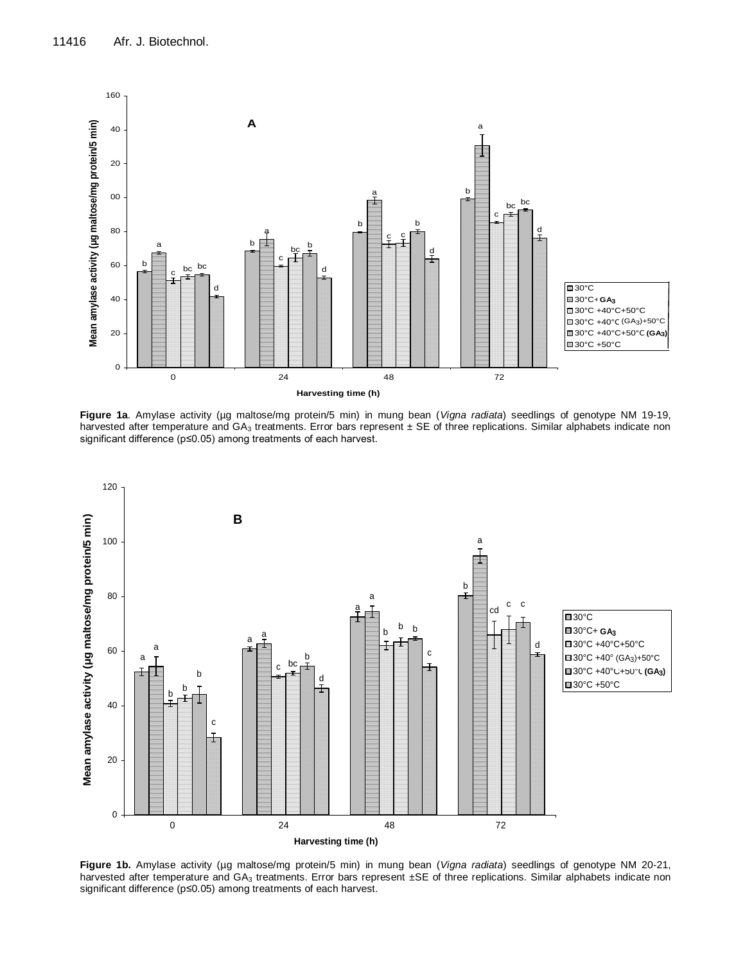

**Figure 1a**. Amylase activity (µg maltose/mg protein/5 min) in mung bean (*Vigna radiata*) seedlings of genotype NM 19-19, harvested after temperature and  $GA_3$  treatments. Error bars represent  $\pm$  SE of three replications. Similar alphabets indicate non significant difference (p≤0.05) among treatments of each harvest.



**Figure 1b.** Amylase activity (µg maltose/mg protein/5 min) in mung bean (*Vigna radiata*) seedlings of genotype NM 20-21, harvested after temperature and GA<sub>3</sub> treatments. Error bars represent ±SE of three replications. Similar alphabets indicate non significant difference (p≤0.05) among treatments of each harvest.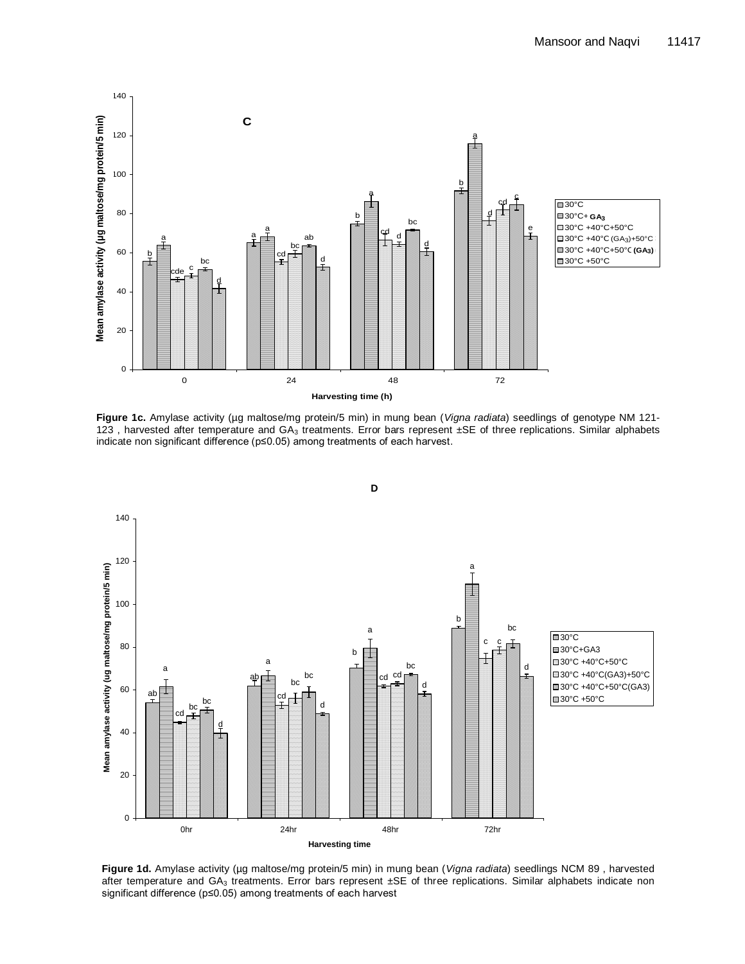

**Figure 1c.** Amylase activity (µg maltose/mg protein/5 min) in mung bean (*Vigna radiata*) seedlings of genotype NM 121- 123, harvested after temperature and  $GA_3$  treatments. Error bars represent  $\pm$ SE of three replications. Similar alphabets indicate non significant difference (p≤0.05) among treatments of each harvest.



Figure 1d. Amylase activity (µg maltose/mg protein/5 min) in mung bean (*Vigna radiata*) seedlings NCM 89, harvested after temperature and GA<sub>3</sub> treatments. Error bars represent ±SE of three replications. Similar alphabets indicate non significant difference (p≤0.05) among treatments of each harvest

**D**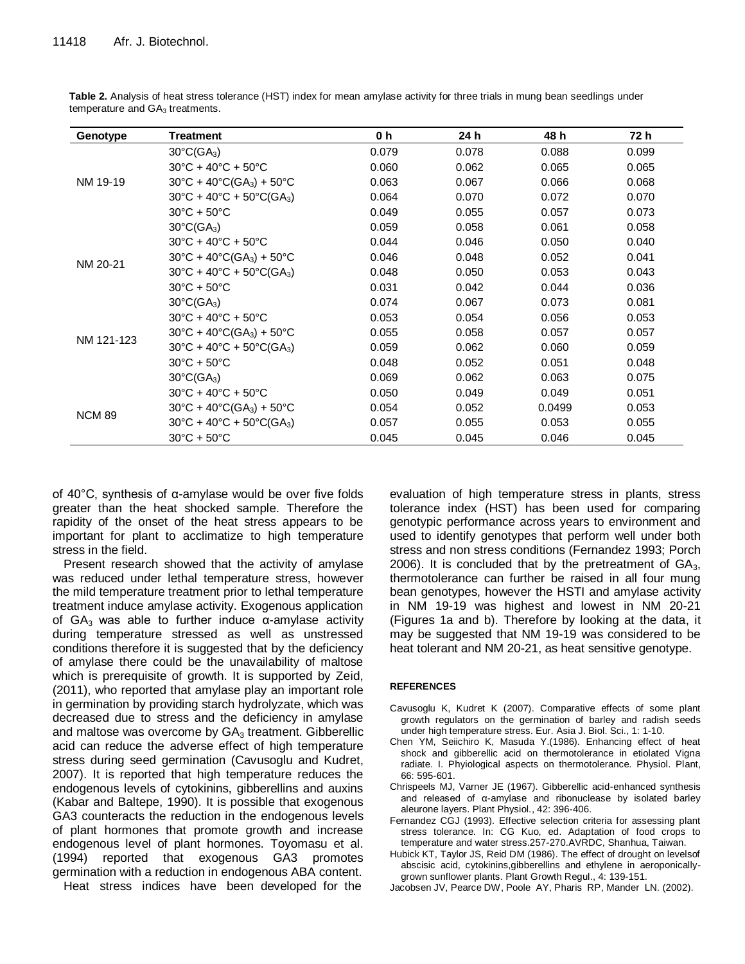| Genotype      | <b>Treatment</b>                                                     | 0 h   | 24 h  | 48 h   | 72 h  |
|---------------|----------------------------------------------------------------------|-------|-------|--------|-------|
| NM 19-19      | $30^{\circ}$ C(GA <sub>3</sub> )                                     | 0.079 | 0.078 | 0.088  | 0.099 |
|               | $30^{\circ}$ C + 40 $^{\circ}$ C + 50 $^{\circ}$ C                   | 0.060 | 0.062 | 0.065  | 0.065 |
|               | $30^{\circ}$ C + 40 $^{\circ}$ C(GA <sub>3</sub> ) + 50 $^{\circ}$ C | 0.063 | 0.067 | 0.066  | 0.068 |
|               | $30^{\circ}$ C + 40 $^{\circ}$ C + 50 $^{\circ}$ C(GA <sub>3</sub> ) | 0.064 | 0.070 | 0.072  | 0.070 |
|               | $30^{\circ}$ C + 50 $^{\circ}$ C                                     | 0.049 | 0.055 | 0.057  | 0.073 |
|               | $30^{\circ}$ C(GA <sub>3</sub> )                                     | 0.059 | 0.058 | 0.061  | 0.058 |
| NM 20-21      | $30^{\circ}$ C + 40 $^{\circ}$ C + 50 $^{\circ}$ C                   | 0.044 | 0.046 | 0.050  | 0.040 |
|               | $30^{\circ}$ C + 40 $^{\circ}$ C(GA <sub>3</sub> ) + 50 $^{\circ}$ C | 0.046 | 0.048 | 0.052  | 0.041 |
|               | $30^{\circ}$ C + 40 $^{\circ}$ C + 50 $^{\circ}$ C(GA <sub>3</sub> ) | 0.048 | 0.050 | 0.053  | 0.043 |
|               | $30^{\circ}$ C + 50 $^{\circ}$ C                                     | 0.031 | 0.042 | 0.044  | 0.036 |
| NM 121-123    | $30^{\circ}$ C(GA <sub>3</sub> )                                     | 0.074 | 0.067 | 0.073  | 0.081 |
|               | $30^{\circ}$ C + 40 $^{\circ}$ C + 50 $^{\circ}$ C                   | 0.053 | 0.054 | 0.056  | 0.053 |
|               | $30^{\circ}$ C + 40 $^{\circ}$ C(GA <sub>3</sub> ) + 50 $^{\circ}$ C | 0.055 | 0.058 | 0.057  | 0.057 |
|               | $30^{\circ}$ C + 40 $^{\circ}$ C + 50 $^{\circ}$ C(GA <sub>3</sub> ) | 0.059 | 0.062 | 0.060  | 0.059 |
|               | $30^{\circ}$ C + 50 $^{\circ}$ C                                     | 0.048 | 0.052 | 0.051  | 0.048 |
|               | $30^{\circ}$ C(GA <sub>3</sub> )                                     | 0.069 | 0.062 | 0.063  | 0.075 |
| <b>NCM 89</b> | $30^{\circ}$ C + 40 $^{\circ}$ C + 50 $^{\circ}$ C                   | 0.050 | 0.049 | 0.049  | 0.051 |
|               | $30^{\circ}$ C + 40 $^{\circ}$ C(GA <sub>3</sub> ) + 50 $^{\circ}$ C | 0.054 | 0.052 | 0.0499 | 0.053 |
|               | $30^{\circ}$ C + 40 $^{\circ}$ C + 50 $^{\circ}$ C(GA <sub>3</sub> ) | 0.057 | 0.055 | 0.053  | 0.055 |
|               | $30^{\circ}$ C + 50 $^{\circ}$ C                                     | 0.045 | 0.045 | 0.046  | 0.045 |

**Table 2.** Analysis of heat stress tolerance (HST) index for mean amylase activity for three trials in mung bean seedlings under temperature and GA<sub>3</sub> treatments.

of 40°C, synthesis of α-amylase would be over five folds greater than the heat shocked sample. Therefore the rapidity of the onset of the heat stress appears to be important for plant to acclimatize to high temperature stress in the field.

Present research showed that the activity of amylase was reduced under lethal temperature stress, however the mild temperature treatment prior to lethal temperature treatment induce amylase activity. Exogenous application of GA<sub>3</sub> was able to further induce α-amylase activity during temperature stressed as well as unstressed conditions therefore it is suggested that by the deficiency of amylase there could be the unavailability of maltose which is prerequisite of growth. It is supported by Zeid, (2011), who reported that amylase play an important role in germination by providing starch hydrolyzate, which was decreased due to stress and the deficiency in amylase and maltose was overcome by  $GA<sub>3</sub>$  treatment. Gibberellic acid can reduce the adverse effect of high temperature stress during seed germination (Cavusoglu and Kudret, 2007). It is reported that high temperature reduces the endogenous levels of cytokinins, gibberellins and auxins (Kabar and Baltepe, 1990). It is possible that exogenous GA3 counteracts the reduction in the endogenous levels of plant hormones that promote growth and increase endogenous level of plant hormones. Toyomasu et al. (1994) reported that exogenous GA3 promotes germination with a reduction in endogenous ABA content. Heat stress indices have been developed for the

evaluation of high temperature stress in plants, stress tolerance index (HST) has been used for comparing genotypic performance across years to environment and used to identify genotypes that perform well under both stress and non stress conditions (Fernandez 1993; Porch 2006). It is concluded that by the pretreatment of  $GA_3$ , thermotolerance can further be raised in all four mung bean genotypes, however the HSTI and amylase activity in NM 19-19 was highest and lowest in NM 20-21 (Figures 1a and b). Therefore by looking at the data, it may be suggested that NM 19-19 was considered to be heat tolerant and NM 20-21, as heat sensitive genotype.

#### **REFERENCES**

- Cavusoglu K, Kudret K (2007). Comparative effects of some plant growth regulators on the germination of barley and radish seeds under high temperature stress. Eur. Asia J. Biol. Sci., 1: 1-10.
- Chen YM, Seiichiro K, Masuda Y.(1986). Enhancing effect of heat shock and gibberellic acid on thermotolerance in etiolated Vigna radiate. I. Phyiological aspects on thermotolerance. Physiol. Plant, 66: 595-601.
- Chrispeels MJ, Varner JE (1967). Gibberellic acid-enhanced synthesis and released of α-amylase and ribonuclease by isolated barley aleurone layers. Plant Physiol., 42: 396-406.
- Fernandez CGJ (1993). Effective selection criteria for assessing plant stress tolerance. In: CG Kuo, ed. Adaptation of food crops to temperature and water stress.257-270.AVRDC, Shanhua, Taiwan.
- Hubick KT, Taylor JS, Reid DM (1986). The effect of drought on levelsof abscisic acid, cytokinins,gibberellins and ethylene in aeroponicallygrown sunflower plants. Plant Growth Regul., 4: 139-151.
- Jacobsen JV, Pearce DW, Poole AY, Pharis RP, Mander LN. (2002).